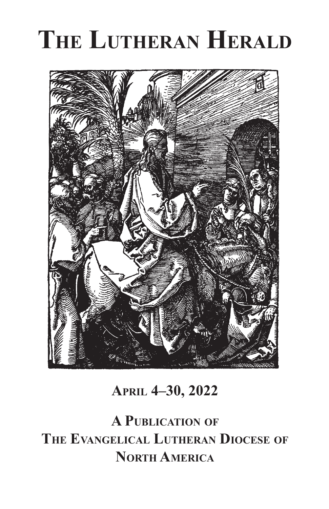# **The Lutheran Herald**



**April 4–30, 2022**

**A Publication of The Evangelical Lutheran Diocese of North America**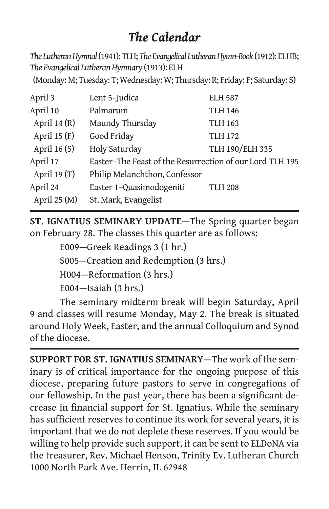# *The Calendar*

*The Lutheran Hymnal* (1941): TLH; *The Evangelical Lutheran Hymn-Book* (1912): ELHB; *The Evangelical Lutheran Hymnary* (1913): ELH

(Monday: M; Tuesday: T; Wednesday: W; Thursday: R; Friday: F; Saturday: S)

| Lent 5-Judica                                            | <b>ELH 587</b>  |
|----------------------------------------------------------|-----------------|
| Palmarum                                                 | <b>TLH 146</b>  |
| Maundy Thursday                                          | <b>TLH 163</b>  |
| Good Friday                                              | <b>TLH 172</b>  |
| Holy Saturday                                            | TLH 190/ELH 335 |
| Easter-The Feast of the Resurrection of our Lord TLH 195 |                 |
| Philip Melanchthon, Confessor                            |                 |
| Easter 1-Quasimodogeniti                                 | <b>TLH 208</b>  |
| St. Mark, Evangelist                                     |                 |
|                                                          |                 |

**ST. IGNATIUS SEMINARY UPDATE—**The Spring quarter began on February 28. The classes this quarter are as follows:

E009—Greek Readings 3 (1 hr.)

S005—Creation and Redemption (3 hrs.)

H004—Reformation (3 hrs.)

E004—Isaiah (3 hrs.)

The seminary midterm break will begin Saturday, April 9 and classes will resume Monday, May 2. The break is situated around Holy Week, Easter, and the annual Colloquium and Synod of the diocese.

**SUPPORT FOR ST. IGNATIUS SEMINARY—**The work of the seminary is of critical importance for the ongoing purpose of this diocese, preparing future pastors to serve in congregations of our fellowship. In the past year, there has been a significant decrease in financial support for St. Ignatius. While the seminary has sufficient reserves to continue its work for several years, it is important that we do not deplete these reserves. If you would be willing to help provide such support, it can be sent to ELDoNA via the treasurer, Rev. Michael Henson, Trinity Ev. Lutheran Church 1000 North Park Ave. Herrin, IL 62948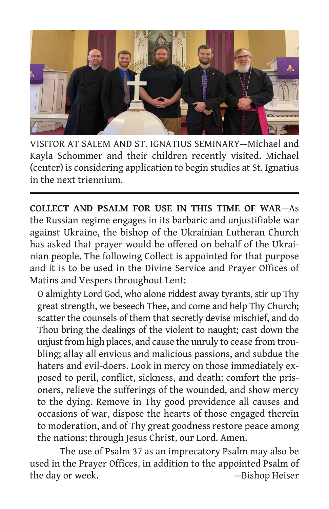

VISITOR AT SALEM AND ST. IGNATIUS SEMINARY—Michael and Kayla Schommer and their children recently visited. Michael (center) is considering application to begin studies at St. Ignatius in the next triennium.

**COLLECT AND PSALM FOR USE IN THIS TIME OF WAR**—As the Russian regime engages in its barbaric and unjustifiable war against Ukraine, the bishop of the Ukrainian Lutheran Church has asked that prayer would be offered on behalf of the Ukrainian people. The following Collect is appointed for that purpose and it is to be used in the Divine Service and Prayer Offices of Matins and Vespers throughout Lent:

O almighty Lord God, who alone riddest away tyrants, stir up Thy great strength, we beseech Thee, and come and help Thy Church; scatter the counsels of them that secretly devise mischief, and do Thou bring the dealings of the violent to naught; cast down the unjust from high places, and cause the unruly to cease from troubling; allay all envious and malicious passions, and subdue the haters and evil-doers. Look in mercy on those immediately exposed to peril, conflict, sickness, and death; comfort the prisoners, relieve the sufferings of the wounded, and show mercy to the dying. Remove in Thy good providence all causes and occasions of war, dispose the hearts of those engaged therein to moderation, and of Thy great goodness restore peace among the nations; through Jesus Christ, our Lord. Amen.

The use of Psalm 37 as an imprecatory Psalm may also be used in the Prayer Offices, in addition to the appointed Psalm of the day or week. —Bishop Heiser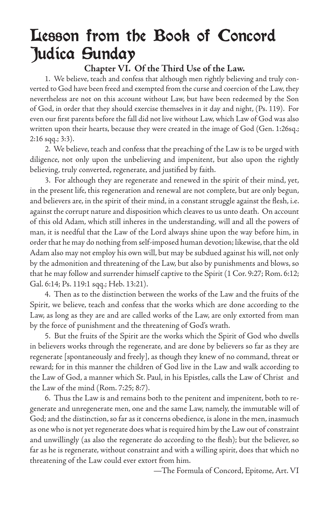# Lesson from the Book of Concord Judica Sunday

#### Chapter VI. Of the Third Use of the Law.

1. We believe, teach and confess that although men rightly believing and truly converted to God have been freed and exempted from the curse and coercion of the Law, they nevertheless are not on this account without Law, but have been redeemed by the Son of God, in order that they should exercise themselves in it day and night, (Ps. 119). For even our first parents before the fall did not live without Law, which Law of God was also written upon their hearts, because they were created in the image of God (Gen. 1:26sq.; 2:16 sqq.; 3:3).

2. We believe, teach and confess that the preaching of the Law is to be urged with diligence, not only upon the unbelieving and impenitent, but also upon the rightly believing, truly converted, regenerate, and justified by faith.

3. For although they are regenerate and renewed in the spirit of their mind, yet, in the present life, this regeneration and renewal are not complete, but are only begun, and believers are, in the spirit of their mind, in a constant struggle against the flesh, i.e. against the corrupt nature and disposition which cleaves to us unto death. On account of this old Adam, which still inheres in the understanding, will and all the powers of man, it is needful that the Law of the Lord always shine upon the way before him, in order that he may do nothing from self-imposed human devotion; likewise, that the old Adam also may not employ his own will, but may be subdued against his will, not only by the admonition and threatening of the Law, but also by punishments and blows, so that he may follow and surrender himself captive to the Spirit (1 Cor. 9:27; Rom. 6:12; Gal. 6:14; Ps. 119:1 sqq.; Heb. 13:21).

4. Then as to the distinction between the works of the Law and the fruits of the Spirit, we believe, teach and confess that the works which are done according to the Law, as long as they are and are called works of the Law, are only extorted from man by the force of punishment and the threatening of God's wrath.

5. But the fruits of the Spirit are the works which the Spirit of God who dwells in believers works through the regenerate, and are done by believers so far as they are regenerate [spontaneously and freely], as though they knew of no command, threat or reward; for in this manner the children of God live in the Law and walk according to the Law of God, a manner which St. Paul, in his Epistles, calls the Law of Christ and the Law of the mind (Rom. 7:25; 8:7).

6. Thus the Law is and remains both to the penitent and impenitent, both to regenerate and unregenerate men, one and the same Law, namely, the immutable will of God; and the distinction, so far as it concerns obedience, is alone in the men, inasmuch as one who is not yet regenerate does what is required him by the Law out of constraint and unwillingly (as also the regenerate do according to the flesh); but the believer, so far as he is regenerate, without constraint and with a willing spirit, does that which no threatening of the Law could ever extort from him.

—The Formula of Concord, Epitome, Art. VI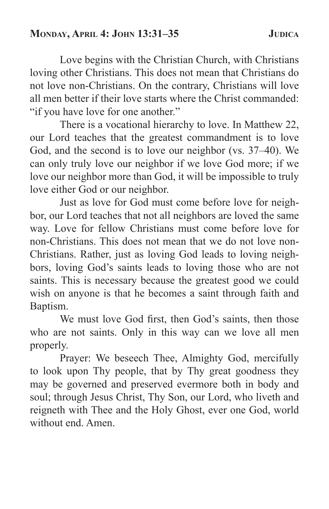Love begins with the Christian Church, with Christians loving other Christians. This does not mean that Christians do not love non-Christians. On the contrary, Christians will love all men better if their love starts where the Christ commanded: "if you have love for one another."

There is a vocational hierarchy to love. In Matthew 22, our Lord teaches that the greatest commandment is to love God, and the second is to love our neighbor (vs. 37–40). We can only truly love our neighbor if we love God more; if we love our neighbor more than God, it will be impossible to truly love either God or our neighbor.

Just as love for God must come before love for neighbor, our Lord teaches that not all neighbors are loved the same way. Love for fellow Christians must come before love for non-Christians. This does not mean that we do not love non-Christians. Rather, just as loving God leads to loving neighbors, loving God's saints leads to loving those who are not saints. This is necessary because the greatest good we could wish on anyone is that he becomes a saint through faith and Baptism.

 We must love God first, then God's saints, then those who are not saints. Only in this way can we love all men properly.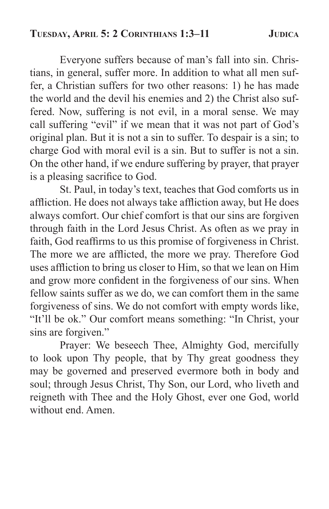Everyone suffers because of man's fall into sin. Christians, in general, suffer more. In addition to what all men suffer, a Christian suffers for two other reasons: 1) he has made the world and the devil his enemies and 2) the Christ also suffered. Now, suffering is not evil, in a moral sense. We may call suffering "evil" if we mean that it was not part of God's original plan. But it is not a sin to suffer. To despair is a sin; to charge God with moral evil is a sin. But to suffer is not a sin. On the other hand, if we endure suffering by prayer, that prayer is a pleasing sacrifice to God.

St. Paul, in today's text, teaches that God comforts us in affliction. He does not always take affliction away, but He does always comfort. Our chief comfort is that our sins are forgiven through faith in the Lord Jesus Christ. As often as we pray in faith, God reaffirms to us this promise of forgiveness in Christ. The more we are afflicted, the more we pray. Therefore God uses affliction to bring us closer to Him, so that we lean on Him and grow more confident in the forgiveness of our sins. When fellow saints suffer as we do, we can comfort them in the same forgiveness of sins. We do not comfort with empty words like, "It'll be ok." Our comfort means something: "In Christ, your sins are forgiven."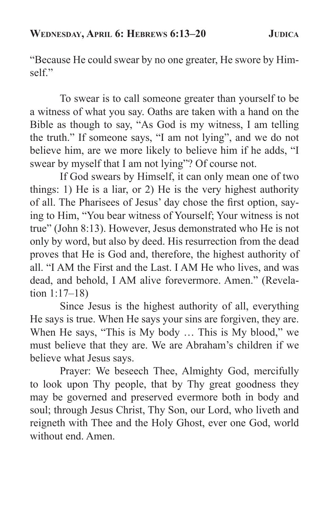"Because He could swear by no one greater, He swore by Himself."

To swear is to call someone greater than yourself to be a witness of what you say. Oaths are taken with a hand on the Bible as though to say, "As God is my witness, I am telling the truth." If someone says, "I am not lying", and we do not believe him, are we more likely to believe him if he adds, "I swear by myself that I am not lying"? Of course not.

If God swears by Himself, it can only mean one of two things: 1) He is a liar, or 2) He is the very highest authority of all. The Pharisees of Jesus' day chose the first option, saying to Him, "You bear witness of Yourself; Your witness is not true" (John 8:13). However, Jesus demonstrated who He is not only by word, but also by deed. His resurrection from the dead proves that He is God and, therefore, the highest authority of all. "I AM the First and the Last. I AM He who lives, and was dead, and behold, I AM alive forevermore. Amen." (Revelation 1:17–18)

Since Jesus is the highest authority of all, everything He says is true. When He says your sins are forgiven, they are. When He says, "This is My body … This is My blood," we must believe that they are. We are Abraham's children if we believe what Jesus says.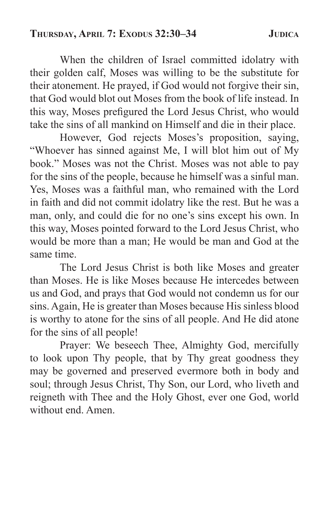When the children of Israel committed idolatry with their golden calf, Moses was willing to be the substitute for their atonement. He prayed, if God would not forgive their sin, that God would blot out Moses from the book of life instead. In this way, Moses prefigured the Lord Jesus Christ, who would take the sins of all mankind on Himself and die in their place.

However, God rejects Moses's proposition, saying, "Whoever has sinned against Me, I will blot him out of My book." Moses was not the Christ. Moses was not able to pay for the sins of the people, because he himself was a sinful man. Yes, Moses was a faithful man, who remained with the Lord in faith and did not commit idolatry like the rest. But he was a man, only, and could die for no one's sins except his own. In this way, Moses pointed forward to the Lord Jesus Christ, who would be more than a man; He would be man and God at the same time.

The Lord Jesus Christ is both like Moses and greater than Moses. He is like Moses because He intercedes between us and God, and prays that God would not condemn us for our sins. Again, He is greater than Moses because His sinless blood is worthy to atone for the sins of all people. And He did atone for the sins of all people!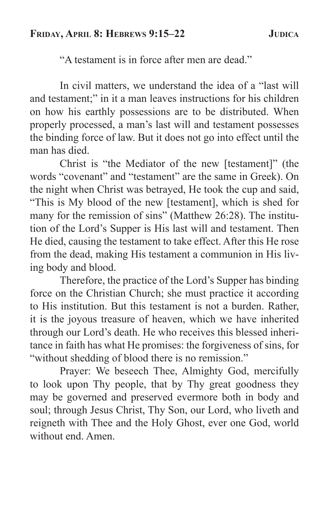"A testament is in force after men are dead."

In civil matters, we understand the idea of a "last will and testament;" in it a man leaves instructions for his children on how his earthly possessions are to be distributed. When properly processed, a man's last will and testament possesses the binding force of law. But it does not go into effect until the man has died.

Christ is "the Mediator of the new [testament]" (the words "covenant" and "testament" are the same in Greek). On the night when Christ was betrayed, He took the cup and said, "This is My blood of the new [testament], which is shed for many for the remission of sins" (Matthew 26:28). The institution of the Lord's Supper is His last will and testament. Then He died, causing the testament to take effect. After this He rose from the dead, making His testament a communion in His living body and blood.

Therefore, the practice of the Lord's Supper has binding force on the Christian Church; she must practice it according to His institution. But this testament is not a burden. Rather, it is the joyous treasure of heaven, which we have inherited through our Lord's death. He who receives this blessed inheritance in faith has what He promises: the forgiveness of sins, for "without shedding of blood there is no remission."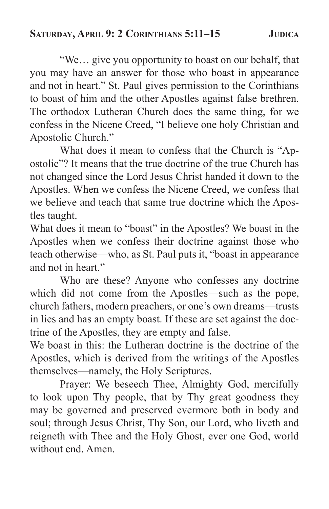"We… give you opportunity to boast on our behalf, that you may have an answer for those who boast in appearance and not in heart." St. Paul gives permission to the Corinthians to boast of him and the other Apostles against false brethren. The orthodox Lutheran Church does the same thing, for we confess in the Nicene Creed, "I believe one holy Christian and Apostolic Church."

What does it mean to confess that the Church is "Apostolic"? It means that the true doctrine of the true Church has not changed since the Lord Jesus Christ handed it down to the Apostles. When we confess the Nicene Creed, we confess that we believe and teach that same true doctrine which the Apostles taught.

What does it mean to "boast" in the Apostles? We boast in the Apostles when we confess their doctrine against those who teach otherwise—who, as St. Paul puts it, "boast in appearance and not in heart."

Who are these? Anyone who confesses any doctrine which did not come from the Apostles—such as the pope, church fathers, modern preachers, or one's own dreams—trusts in lies and has an empty boast. If these are set against the doctrine of the Apostles, they are empty and false.

We boast in this: the Lutheran doctrine is the doctrine of the Apostles, which is derived from the writings of the Apostles themselves—namely, the Holy Scriptures.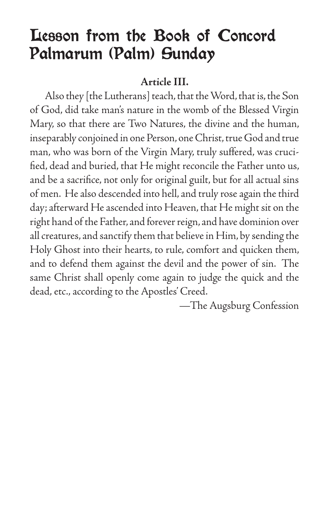# Lesson from the Book of Concord Palmarum (Palm) Sunday

# Article III.

Also they [the Lutherans] teach, that the Word, that is, the Son of God, did take man's nature in the womb of the Blessed Virgin Mary, so that there are Two Natures, the divine and the human, inseparably conjoined in one Person, one Christ, true God and true man, who was born of the Virgin Mary, truly suffered, was crucified, dead and buried, that He might reconcile the Father unto us, and be a sacrifice, not only for original guilt, but for all actual sins of men. He also descended into hell, and truly rose again the third day; afterward He ascended into Heaven, that He might sit on the right hand of the Father, and forever reign, and have dominion over all creatures, and sanctify them that believe in Him, by sending the Holy Ghost into their hearts, to rule, comfort and quicken them, and to defend them against the devil and the power of sin. The same Christ shall openly come again to judge the quick and the dead, etc., according to the Apostles' Creed.

—The Augsburg Confession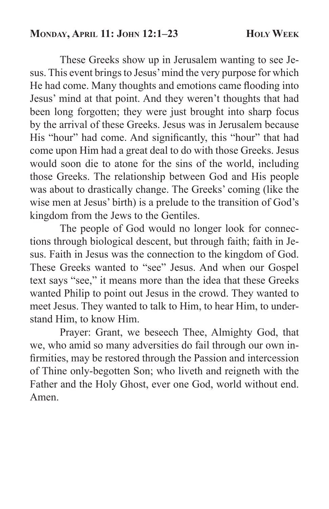These Greeks show up in Jerusalem wanting to see Jesus. This event brings to Jesus' mind the very purpose for which He had come. Many thoughts and emotions came flooding into Jesus' mind at that point. And they weren't thoughts that had been long forgotten; they were just brought into sharp focus by the arrival of these Greeks. Jesus was in Jerusalem because His "hour" had come. And significantly, this "hour" that had come upon Him had a great deal to do with those Greeks. Jesus would soon die to atone for the sins of the world, including those Greeks. The relationship between God and His people was about to drastically change. The Greeks' coming (like the wise men at Jesus' birth) is a prelude to the transition of God's kingdom from the Jews to the Gentiles.

The people of God would no longer look for connections through biological descent, but through faith; faith in Jesus. Faith in Jesus was the connection to the kingdom of God. These Greeks wanted to "see" Jesus. And when our Gospel text says "see," it means more than the idea that these Greeks wanted Philip to point out Jesus in the crowd. They wanted to meet Jesus. They wanted to talk to Him, to hear Him, to understand Him, to know Him.

Prayer: Grant, we beseech Thee, Almighty God, that we, who amid so many adversities do fail through our own infirmities, may be restored through the Passion and intercession of Thine only-begotten Son; who liveth and reigneth with the Father and the Holy Ghost, ever one God, world without end. Amen.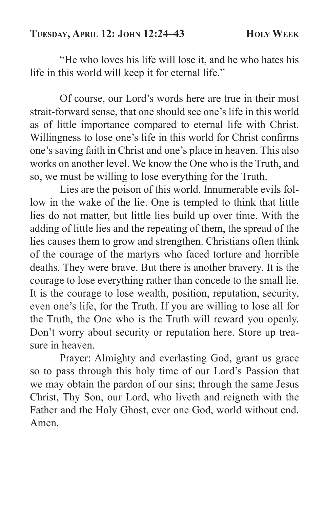"He who loves his life will lose it, and he who hates his life in this world will keep it for eternal life."

Of course, our Lord's words here are true in their most strait-forward sense, that one should see one's life in this world as of little importance compared to eternal life with Christ. Willingness to lose one's life in this world for Christ confirms one's saving faith in Christ and one's place in heaven. This also works on another level. We know the One who is the Truth, and so, we must be willing to lose everything for the Truth.

Lies are the poison of this world. Innumerable evils follow in the wake of the lie. One is tempted to think that little lies do not matter, but little lies build up over time. With the adding of little lies and the repeating of them, the spread of the lies causes them to grow and strengthen. Christians often think of the courage of the martyrs who faced torture and horrible deaths. They were brave. But there is another bravery. It is the courage to lose everything rather than concede to the small lie. It is the courage to lose wealth, position, reputation, security, even one's life, for the Truth. If you are willing to lose all for the Truth, the One who is the Truth will reward you openly. Don't worry about security or reputation here. Store up treasure in heaven.

Prayer: Almighty and everlasting God, grant us grace so to pass through this holy time of our Lord's Passion that we may obtain the pardon of our sins; through the same Jesus Christ, Thy Son, our Lord, who liveth and reigneth with the Father and the Holy Ghost, ever one God, world without end. Amen.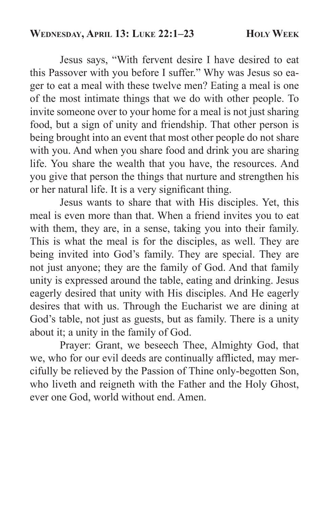Jesus says, "With fervent desire I have desired to eat this Passover with you before I suffer." Why was Jesus so eager to eat a meal with these twelve men? Eating a meal is one of the most intimate things that we do with other people. To invite someone over to your home for a meal is not just sharing food, but a sign of unity and friendship. That other person is being brought into an event that most other people do not share with you. And when you share food and drink you are sharing life. You share the wealth that you have, the resources. And you give that person the things that nurture and strengthen his or her natural life. It is a very significant thing.

Jesus wants to share that with His disciples. Yet, this meal is even more than that. When a friend invites you to eat with them, they are, in a sense, taking you into their family. This is what the meal is for the disciples, as well. They are being invited into God's family. They are special. They are not just anyone; they are the family of God. And that family unity is expressed around the table, eating and drinking. Jesus eagerly desired that unity with His disciples. And He eagerly desires that with us. Through the Eucharist we are dining at God's table, not just as guests, but as family. There is a unity about it; a unity in the family of God.

Prayer: Grant, we beseech Thee, Almighty God, that we, who for our evil deeds are continually afflicted, may mercifully be relieved by the Passion of Thine only-begotten Son, who liveth and reigneth with the Father and the Holy Ghost, ever one God, world without end. Amen.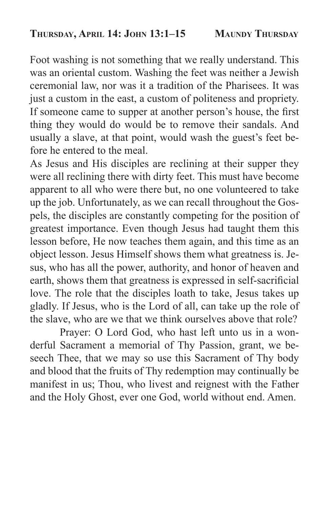Foot washing is not something that we really understand. This was an oriental custom. Washing the feet was neither a Jewish ceremonial law, nor was it a tradition of the Pharisees. It was just a custom in the east, a custom of politeness and propriety. If someone came to supper at another person's house, the first thing they would do would be to remove their sandals. And usually a slave, at that point, would wash the guest's feet before he entered to the meal.

As Jesus and His disciples are reclining at their supper they were all reclining there with dirty feet. This must have become apparent to all who were there but, no one volunteered to take up the job. Unfortunately, as we can recall throughout the Gospels, the disciples are constantly competing for the position of greatest importance. Even though Jesus had taught them this lesson before, He now teaches them again, and this time as an object lesson. Jesus Himself shows them what greatness is. Jesus, who has all the power, authority, and honor of heaven and earth, shows them that greatness is expressed in self-sacrificial love. The role that the disciples loath to take, Jesus takes up gladly. If Jesus, who is the Lord of all, can take up the role of the slave, who are we that we think ourselves above that role?

Prayer: O Lord God, who hast left unto us in a wonderful Sacrament a memorial of Thy Passion, grant, we beseech Thee, that we may so use this Sacrament of Thy body and blood that the fruits of Thy redemption may continually be manifest in us; Thou, who livest and reignest with the Father and the Holy Ghost, ever one God, world without end. Amen.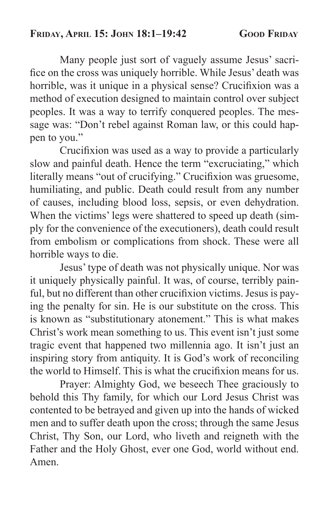Many people just sort of vaguely assume Jesus' sacrifice on the cross was uniquely horrible. While Jesus' death was horrible, was it unique in a physical sense? Crucifixion was a method of execution designed to maintain control over subject peoples. It was a way to terrify conquered peoples. The message was: "Don't rebel against Roman law, or this could happen to you."

 Crucifixion was used as a way to provide a particularly slow and painful death. Hence the term "excruciating," which literally means "out of crucifying." Crucifixion was gruesome, humiliating, and public. Death could result from any number of causes, including blood loss, sepsis, or even dehydration. When the victims' legs were shattered to speed up death (simply for the convenience of the executioners), death could result from embolism or complications from shock. These were all horrible ways to die.

 Jesus'type of death was not physically unique. Nor was it uniquely physically painful. It was, of course, terribly painful, but no different than other crucifixion victims. Jesus is paying the penalty for sin. He is our substitute on the cross. This is known as "substitutionary atonement." This is what makes Christ's work mean something to us. This event isn't just some tragic event that happened two millennia ago. It isn't just an inspiring story from antiquity. It is God's work of reconciling the world to Himself. This is what the crucifixion means for us.

Prayer: Almighty God, we beseech Thee graciously to behold this Thy family, for which our Lord Jesus Christ was contented to be betrayed and given up into the hands of wicked men and to suffer death upon the cross; through the same Jesus Christ, Thy Son, our Lord, who liveth and reigneth with the Father and the Holy Ghost, ever one God, world without end. Amen.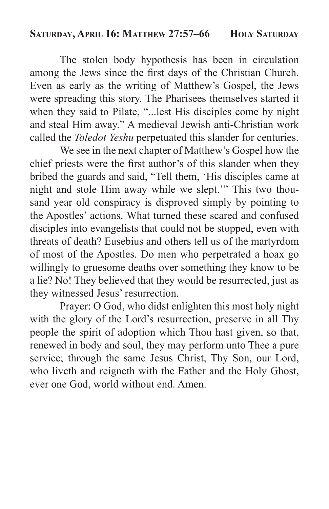The stolen body hypothesis has been in circulation among the Jews since the first days of the Christian Church. Even as early as the writing of Matthew's Gospel, the Jews were spreading this story. The Pharisees themselves started it when they said to Pilate, "...lest His disciples come by night and steal Him away." A medieval Jewish anti-Christian work called the *Toledot Yeshu* perpetuated this slander for centuries.

We see in the next chapter of Matthew's Gospel how the chief priests were the first author's of this slander when they bribed the guards and said, "Tell them, 'His disciples came at night and stole Him away while we slept.'" This two thousand year old conspiracy is disproved simply by pointing to the Apostles' actions. What turned these scared and confused disciples into evangelists that could not be stopped, even with threats of death? Eusebius and others tell us of the martyrdom of most of the Apostles. Do men who perpetrated a hoax go willingly to gruesome deaths over something they know to be a lie? No! They believed that they would be resurrected, just as they witnessed Jesus' resurrection.

Prayer: O God, who didst enlighten this most holy night with the glory of the Lord's resurrection, preserve in all Thy people the spirit of adoption which Thou hast given, so that, renewed in body and soul, they may perform unto Thee a pure service; through the same Jesus Christ, Thy Son, our Lord, who liveth and reigneth with the Father and the Holy Ghost, ever one God, world without end. Amen.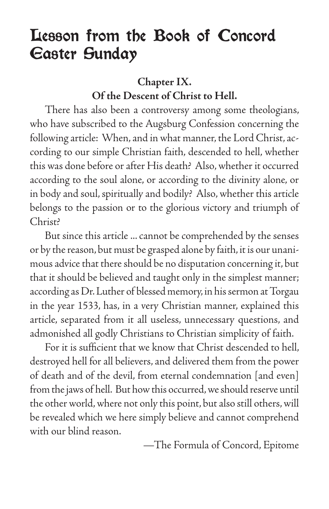# Lesson from the Book of Concord Easter Sunday

Chapter IX. Of the Descent of Christ to Hell.

There has also been a controversy among some theologians, who have subscribed to the Augsburg Confession concerning the following article: When, and in what manner, the Lord Christ, according to our simple Christian faith, descended to hell, whether this was done before or after His death? Also, whether it occurred according to the soul alone, or according to the divinity alone, or in body and soul, spiritually and bodily? Also, whether this article belongs to the passion or to the glorious victory and triumph of Christ?

But since this article ... cannot be comprehended by the senses or by the reason, but must be grasped alone by faith, it is our unanimous advice that there should be no disputation concerning it, but that it should be believed and taught only in the simplest manner; according as Dr. Luther of blessed memory, in his sermon at Torgau in the year 1533, has, in a very Christian manner, explained this article, separated from it all useless, unnecessary questions, and admonished all godly Christians to Christian simplicity of faith.

For it is sufficient that we know that Christ descended to hell, destroyed hell for all believers, and delivered them from the power of death and of the devil, from eternal condemnation [and even] from the jaws of hell. But how this occurred, we should reserve until the other world, where not only this point, but also still others, will be revealed which we here simply believe and cannot comprehend with our blind reason.

—The Formula of Concord, Epitome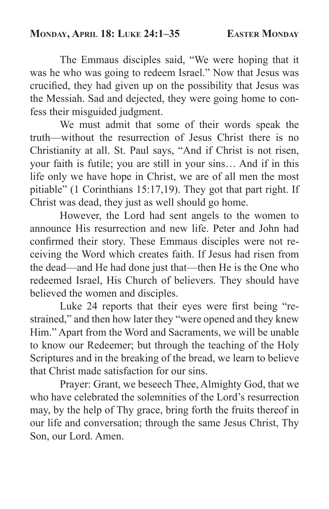The Emmaus disciples said, "We were hoping that it was he who was going to redeem Israel." Now that Jesus was crucified, they had given up on the possibility that Jesus was the Messiah. Sad and dejected, they were going home to confess their misguided judgment.

We must admit that some of their words speak the truth—without the resurrection of Jesus Christ there is no Christianity at all. St. Paul says, "And if Christ is not risen, your faith is futile; you are still in your sins… And if in this life only we have hope in Christ, we are of all men the most pitiable" (1 Corinthians 15:17,19). They got that part right. If Christ was dead, they just as well should go home.

However, the Lord had sent angels to the women to announce His resurrection and new life. Peter and John had confirmed their story. These Emmaus disciples were not receiving the Word which creates faith. If Jesus had risen from the dead—and He had done just that—then He is the One who redeemed Israel, His Church of believers. They should have believed the women and disciples.

 Luke 24 reports that their eyes were first being "restrained," and then how later they "were opened and they knew Him." Apart from the Word and Sacraments, we will be unable to know our Redeemer; but through the teaching of the Holy Scriptures and in the breaking of the bread, we learn to believe that Christ made satisfaction for our sins.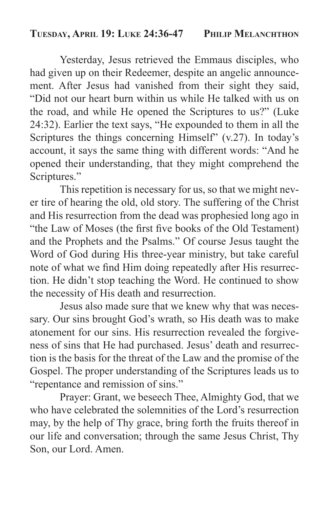# **Tuesday, April 19: Luke 24:36-47 Philip Melanchthon**

Yesterday, Jesus retrieved the Emmaus disciples, who had given up on their Redeemer, despite an angelic announcement. After Jesus had vanished from their sight they said, "Did not our heart burn within us while He talked with us on the road, and while He opened the Scriptures to us?" (Luke 24:32). Earlier the text says, "He expounded to them in all the Scriptures the things concerning Himself" (v.27). In today's account, it says the same thing with different words: "And he opened their understanding, that they might comprehend the Scriptures."

This repetition is necessary for us, so that we might never tire of hearing the old, old story. The suffering of the Christ and His resurrection from the dead was prophesied long ago in "the Law of Moses (the first five books of the Old Testament) and the Prophets and the Psalms." Of course Jesus taught the Word of God during His three-year ministry, but take careful note of what we find Him doing repeatedly after His resurrection. He didn't stop teaching the Word. He continued to show the necessity of His death and resurrection.

Jesus also made sure that we knew why that was necessary. Our sins brought God's wrath, so His death was to make atonement for our sins. His resurrection revealed the forgiveness of sins that He had purchased. Jesus' death and resurrection is the basis for the threat of the Law and the promise of the Gospel. The proper understanding of the Scriptures leads us to "repentance and remission of sins."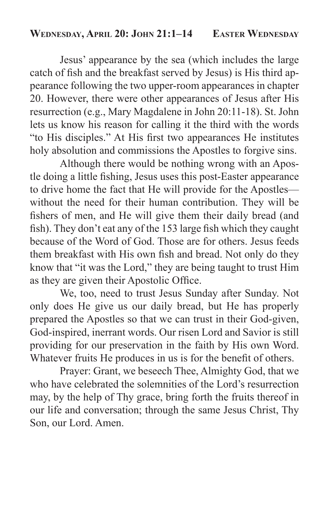# **Wednesday, April 20: John 21:1–14 Easter Wednesday**

Jesus' appearance by the sea (which includes the large catch of fish and the breakfast served by Jesus) is His third appearance following the two upper-room appearances in chapter 20. However, there were other appearances of Jesus after His resurrection (e.g., Mary Magdalene in John 20:11-18). St. John lets us know his reason for calling it the third with the words "to His disciples." At His first two appearances He institutes holy absolution and commissions the Apostles to forgive sins.

Although there would be nothing wrong with an Apostle doing a little fishing, Jesus uses this post-Easter appearance to drive home the fact that He will provide for the Apostles without the need for their human contribution. They will be fishers of men, and He will give them their daily bread (and fish). They don't eat any of the 153 large fish which they caught because of the Word of God. Those are for others. Jesus feeds them breakfast with His own fish and bread. Not only do they know that "it was the Lord," they are being taught to trust Him as they are given their Apostolic Office.

We, too, need to trust Jesus Sunday after Sunday. Not only does He give us our daily bread, but He has properly prepared the Apostles so that we can trust in their God-given, God-inspired, inerrant words. Our risen Lord and Savior is still providing for our preservation in the faith by His own Word. Whatever fruits He produces in us is for the benefit of others.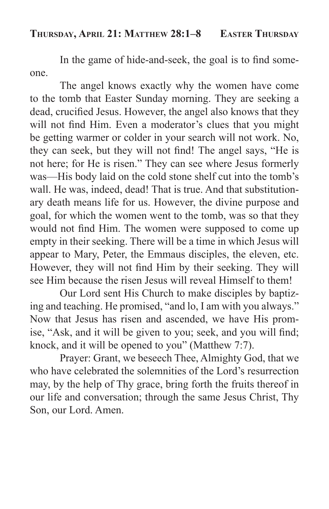# **Thursday, April 21: Matthew 28:1–8 Easter Thursday**

 In the game of hide-and-seek, the goal is to find someone.

The angel knows exactly why the women have come to the tomb that Easter Sunday morning. They are seeking a dead, crucified Jesus. However, the angel also knows that they will not find Him. Even a moderator's clues that you might be getting warmer or colder in your search will not work. No, they can seek, but they will not find! The angel says, "He is not here; for He is risen." They can see where Jesus formerly was—His body laid on the cold stone shelf cut into the tomb's wall. He was, indeed, dead! That is true. And that substitutionary death means life for us. However, the divine purpose and goal, for which the women went to the tomb, was so that they would not find Him. The women were supposed to come up empty in their seeking. There will be a time in which Jesus will appear to Mary, Peter, the Emmaus disciples, the eleven, etc. However, they will not find Him by their seeking. They will see Him because the risen Jesus will reveal Himself to them!

Our Lord sent His Church to make disciples by baptizing and teaching. He promised, "and lo, I am with you always." Now that Jesus has risen and ascended, we have His promise, "Ask, and it will be given to you; seek, and you will find; knock, and it will be opened to you" (Matthew 7:7).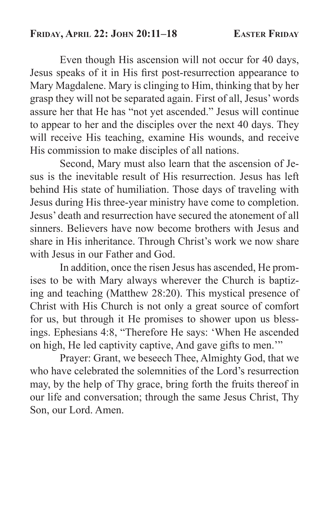Even though His ascension will not occur for 40 days, Jesus speaks of it in His first post-resurrection appearance to Mary Magdalene. Mary is clinging to Him, thinking that by her grasp they will not be separated again. First of all, Jesus' words assure her that He has "not yet ascended." Jesus will continue to appear to her and the disciples over the next 40 days. They will receive His teaching, examine His wounds, and receive His commission to make disciples of all nations.

Second, Mary must also learn that the ascension of Jesus is the inevitable result of His resurrection. Jesus has left behind His state of humiliation. Those days of traveling with Jesus during His three-year ministry have come to completion. Jesus' death and resurrection have secured the atonement of all sinners. Believers have now become brothers with Jesus and share in His inheritance. Through Christ's work we now share with Jesus in our Father and God.

In addition, once the risen Jesus has ascended, He promises to be with Mary always wherever the Church is baptizing and teaching (Matthew 28:20). This mystical presence of Christ with His Church is not only a great source of comfort for us, but through it He promises to shower upon us blessings. Ephesians 4:8, "Therefore He says: 'When He ascended on high, He led captivity captive, And gave gifts to men.'"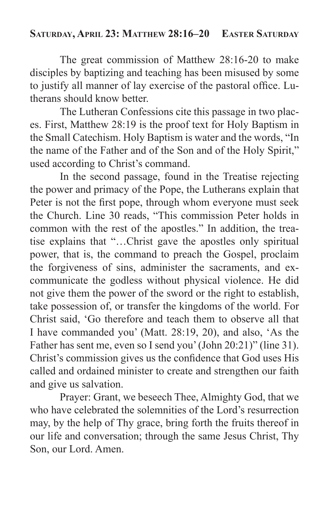## **Saturday, April 23: Matthew 28:16–20 Easter Saturday**

The great commission of Matthew 28:16-20 to make disciples by baptizing and teaching has been misused by some to justify all manner of lay exercise of the pastoral office. Lutherans should know better.

The Lutheran Confessions cite this passage in two places. First, Matthew 28:19 is the proof text for Holy Baptism in the Small Catechism. Holy Baptism is water and the words, "In the name of the Father and of the Son and of the Holy Spirit," used according to Christ's command.

In the second passage, found in the Treatise rejecting the power and primacy of the Pope, the Lutherans explain that Peter is not the first pope, through whom everyone must seek the Church. Line 30 reads, "This commission Peter holds in common with the rest of the apostles." In addition, the treatise explains that "…Christ gave the apostles only spiritual power, that is, the command to preach the Gospel, proclaim the forgiveness of sins, administer the sacraments, and excommunicate the godless without physical violence. He did not give them the power of the sword or the right to establish, take possession of, or transfer the kingdoms of the world. For Christ said, 'Go therefore and teach them to observe all that I have commanded you' (Matt. 28:19, 20), and also, 'As the Father has sent me, even so I send you' (John 20:21)" (line 31). Christ's commission gives us the confidence that God uses His called and ordained minister to create and strengthen our faith and give us salvation.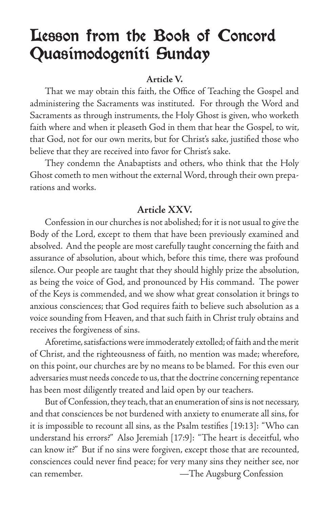# Lesson from the Book of Concord Quasimodogeniti Sunday

#### Article V.

That we may obtain this faith, the Office of Teaching the Gospel and administering the Sacraments was instituted. For through the Word and Sacraments as through instruments, the Holy Ghost is given, who worketh faith where and when it pleaseth God in them that hear the Gospel, to wit, that God, not for our own merits, but for Christ's sake, justified those who believe that they are received into favor for Christ's sake.

They condemn the Anabaptists and others, who think that the Holy Ghost cometh to men without the external Word, through their own preparations and works.

#### Article XXV.

Confession in our churches is not abolished; for it is not usual to give the Body of the Lord, except to them that have been previously examined and absolved. And the people are most carefully taught concerning the faith and assurance of absolution, about which, before this time, there was profound silence. Our people are taught that they should highly prize the absolution, as being the voice of God, and pronounced by His command. The power of the Keys is commended, and we show what great consolation it brings to anxious consciences; that God requires faith to believe such absolution as a voice sounding from Heaven, and that such faith in Christ truly obtains and receives the forgiveness of sins.

Aforetime, satisfactions were immoderately extolled; of faith and the merit of Christ, and the righteousness of faith, no mention was made; wherefore, on this point, our churches are by no means to be blamed. For this even our adversaries must needs concede to us, that the doctrine concerning repentance has been most diligently treated and laid open by our teachers.

But of Confession, they teach, that an enumeration of sins is not necessary, and that consciences be not burdened with anxiety to enumerate all sins, for it is impossible to recount all sins, as the Psalm testifies [19:13]: "Who can understand his errors?" Also Jeremiah [17:9]: "The heart is deceitful, who can know it?" But if no sins were forgiven, except those that are recounted, consciences could never find peace; for very many sins they neither see, nor can remember. —The Augsburg Confession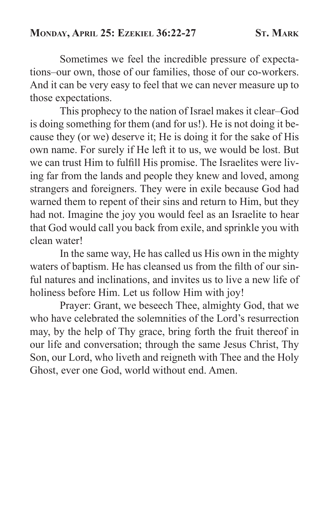Sometimes we feel the incredible pressure of expectations–our own, those of our families, those of our co-workers. And it can be very easy to feel that we can never measure up to those expectations.

This prophecy to the nation of Israel makes it clear–God is doing something for them (and for us!). He is not doing it because they (or we) deserve it; He is doing it for the sake of His own name. For surely if He left it to us, we would be lost. But we can trust Him to fulfill His promise. The Israelites were living far from the lands and people they knew and loved, among strangers and foreigners. They were in exile because God had warned them to repent of their sins and return to Him, but they had not. Imagine the joy you would feel as an Israelite to hear that God would call you back from exile, and sprinkle you with clean water!

In the same way, He has called us His own in the mighty waters of baptism. He has cleansed us from the filth of our sinful natures and inclinations, and invites us to live a new life of holiness before Him. Let us follow Him with joy!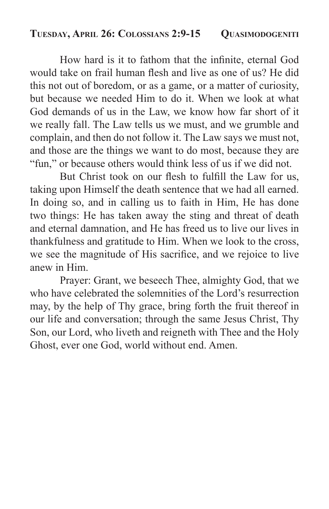# **Tuesday, April 26: Colossians 2:9-15 Quasimodogeniti**

 How hard is it to fathom that the infinite, eternal God would take on frail human flesh and live as one of us? He did this not out of boredom, or as a game, or a matter of curiosity, but because we needed Him to do it. When we look at what God demands of us in the Law, we know how far short of it we really fall. The Law tells us we must, and we grumble and complain, and then do not follow it. The Law says we must not, and those are the things we want to do most, because they are "fun," or because others would think less of us if we did not.

 But Christ took on our flesh to fulfill the Law for us, taking upon Himself the death sentence that we had all earned. In doing so, and in calling us to faith in Him, He has done two things: He has taken away the sting and threat of death and eternal damnation, and He has freed us to live our lives in thankfulness and gratitude to Him. When we look to the cross, we see the magnitude of His sacrifice, and we rejoice to live anew in Him.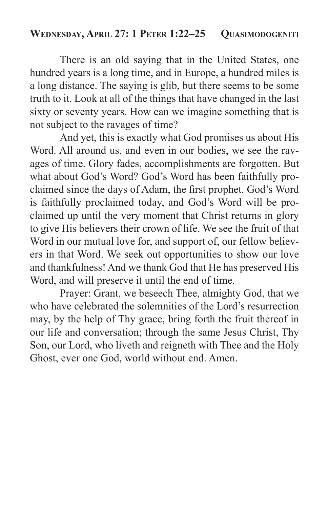### **Wednesday, April 27: 1 Peter 1:22–25 Quasimodogeniti**

There is an old saying that in the United States, one hundred years is a long time, and in Europe, a hundred miles is a long distance. The saying is glib, but there seems to be some truth to it. Look at all of the things that have changed in the last sixty or seventy years. How can we imagine something that is not subject to the ravages of time?

And yet, this is exactly what God promises us about His Word. All around us, and even in our bodies, we see the ravages of time. Glory fades, accomplishments are forgotten. But what about God's Word? God's Word has been faithfully proclaimed since the days of Adam, the first prophet. God's Word is faithfully proclaimed today, and God's Word will be proclaimed up until the very moment that Christ returns in glory to give His believers their crown of life. We see the fruit of that Word in our mutual love for, and support of, our fellow believers in that Word. We seek out opportunities to show our love and thankfulness! And we thank God that He has preserved His Word, and will preserve it until the end of time.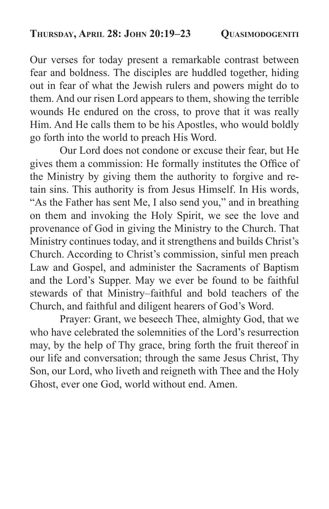Our verses for today present a remarkable contrast between fear and boldness. The disciples are huddled together, hiding out in fear of what the Jewish rulers and powers might do to them. And our risen Lord appears to them, showing the terrible wounds He endured on the cross, to prove that it was really Him. And He calls them to be his Apostles, who would boldly go forth into the world to preach His Word.

Our Lord does not condone or excuse their fear, but He gives them a commission: He formally institutes the Office of the Ministry by giving them the authority to forgive and retain sins. This authority is from Jesus Himself. In His words, "As the Father has sent Me, I also send you," and in breathing on them and invoking the Holy Spirit, we see the love and provenance of God in giving the Ministry to the Church. That Ministry continues today, and it strengthens and builds Christ's Church. According to Christ's commission, sinful men preach Law and Gospel, and administer the Sacraments of Baptism and the Lord's Supper. May we ever be found to be faithful stewards of that Ministry–faithful and bold teachers of the Church, and faithful and diligent hearers of God's Word.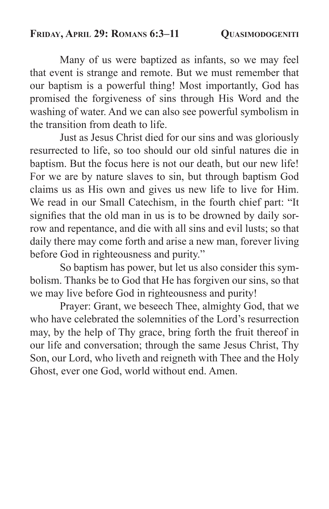Many of us were baptized as infants, so we may feel that event is strange and remote. But we must remember that our baptism is a powerful thing! Most importantly, God has promised the forgiveness of sins through His Word and the washing of water. And we can also see powerful symbolism in the transition from death to life.

Just as Jesus Christ died for our sins and was gloriously resurrected to life, so too should our old sinful natures die in baptism. But the focus here is not our death, but our new life! For we are by nature slaves to sin, but through baptism God claims us as His own and gives us new life to live for Him. We read in our Small Catechism, in the fourth chief part: "It signifies that the old man in us is to be drowned by daily sorrow and repentance, and die with all sins and evil lusts; so that daily there may come forth and arise a new man, forever living before God in righteousness and purity."

So baptism has power, but let us also consider this symbolism. Thanks be to God that He has forgiven our sins, so that we may live before God in righteousness and purity!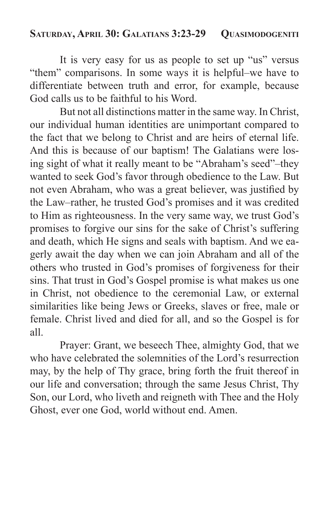## **Saturday, April 30: Galatians 3:23-29 Quasimodogeniti**

It is very easy for us as people to set up "us" versus "them" comparisons. In some ways it is helpful–we have to differentiate between truth and error, for example, because God calls us to be faithful to his Word.

But not all distinctions matter in the same way. In Christ, our individual human identities are unimportant compared to the fact that we belong to Christ and are heirs of eternal life. And this is because of our baptism! The Galatians were losing sight of what it really meant to be "Abraham's seed"–they wanted to seek God's favor through obedience to the Law. But not even Abraham, who was a great believer, was justified by the Law–rather, he trusted God's promises and it was credited to Him as righteousness. In the very same way, we trust God's promises to forgive our sins for the sake of Christ's suffering and death, which He signs and seals with baptism. And we eagerly await the day when we can join Abraham and all of the others who trusted in God's promises of forgiveness for their sins. That trust in God's Gospel promise is what makes us one in Christ, not obedience to the ceremonial Law, or external similarities like being Jews or Greeks, slaves or free, male or female. Christ lived and died for all, and so the Gospel is for all.